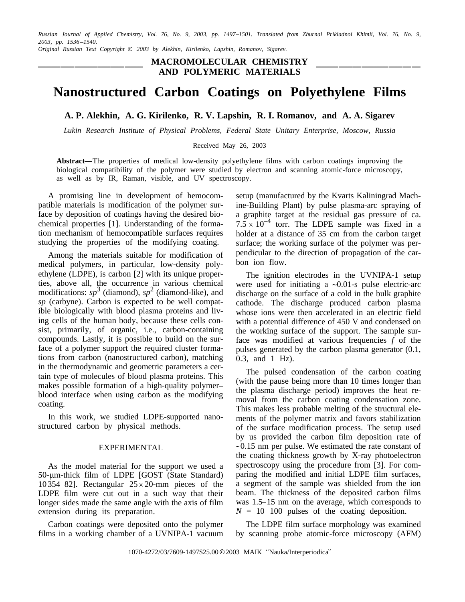*Russian Journal of Applied Chemistry, Vol. 76, No. 9, 2003, pp. 14971501. Translated from Zhurnal Prikladnoi Khimii, Vol. 76, No. 9, 2003, pp. 1536 1540.*

*Original Russian Text Copyright 2003 by Alekhin, Kirilenko, Lapshin, Romanov, Sigarev.*

**MACROMOLECULAR CHEMISTRY AND POLYMERIC MATERIALS**

# **Nanostructured Carbon Coatings on Polyethylene Films**

**A. P. Alekhin, A. G. Kirilenko, R. V. Lapshin, R. I. Romanov, and A. A. Sigarev**

*Lukin Research Institute of Physical Problems, Federal State Unitary Enterprise, Moscow, Russia*

Received May 26, 2003

Abstract—The properties of medical low-density polyethylene films with carbon coatings improving the biological compatibility of the polymer were studied by electron and scanning atomic-force microscopy, as well as by IR, Raman, visible, and UV spectroscopy.

A promising line in development of hemocompatible materials is modification of the polymer surface by deposition of coatings having the desired biochemical properties [1]. Understanding of the formation mechanism of hemocompatible surfaces requires studying the properties of the modifying coating.

Among the materials suitable for modification of medical polymers, in particular, low-density polyethylene (LDPE), is carbon [2] with its unique properties, above all, the occurrence in various chemical modifications:  $sp^3$  (diamond),  $sp^2$  (diamond-like), and *sp* (carbyne). Carbon is expected to be well compatible biologically with blood plasma proteins and living cells of the human body, because these cells consist, primarily, of organic, i.e., carbon-containing compounds. Lastly, it is possible to build on the surface of a polymer support the required cluster formations from carbon (nanostructured carbon), matching in the thermodynamic and geometric parameters a certain type of molecules of blood plasma proteins. This makes possible formation of a high-quality polymer blood interface when using carbon as the modifying coating.

In this work, we studied LDPE-supported nanostructured carbon by physical methods.

## EXPERIMENTAL

As the model material for the support we used a 50-µm-thick film of LDPE [GOST (State Standard) 10 354–82]. Rectangular  $25 \times 20$ -mm pieces of the LDPE film were cut out in a such way that their longer sides made the same angle with the axis of film extension during its preparation.

Carbon coatings were deposited onto the polymer films in a working chamber of a UVNIPA-1 vacuum

setup (manufactured by the Kvarts Kaliningrad Machine-Building Plant) by pulse plasma-arc spraying of a graphite target at the residual gas pressure of ca.  $7.5 \times 10^{-4}$  torr. The LDPE sample was fixed in a holder at a distance of 35 cm from the carbon target surface; the working surface of the polymer was perpendicular to the direction of propagation of the carbon ion flow.

The ignition electrodes in the UVNIPA-1 setup were used for initiating a  $\sim 0.01$ -s pulse electric-arc discharge on the surface of a cold in the bulk graphite cathode. The discharge produced carbon plasma whose ions were then accelerated in an electric field with a potential difference of 450 V and condensed on the working surface of the support. The sample surface was modified at various frequencies *f* of the pulses generated by the carbon plasma generator (0.1, 0.3, and 1 Hz).

The pulsed condensation of the carbon coating (with the pause being more than 10 times longer than the plasma discharge period) improves the heat removal from the carbon coating condensation zone. This makes less probable melting of the structural elements of the polymer matrix and favors stabilization of the surface modification process. The setup used by us provided the carbon film deposition rate of  $\sim$ 0.15 nm per pulse. We estimated the rate constant of the coating thickness growth by X-ray photoelectron spectroscopy using the procedure from [3]. For comparing the modified and initial LDPE film surfaces, a segment of the sample was shielded from the ion beam. The thickness of the deposited carbon films was  $1.5-15$  nm on the average, which corresponds to  $N = 10 - 100$  pulses of the coating deposition.

The LDPE film surface morphology was examined by scanning probe atomic-force microscopy (AFM)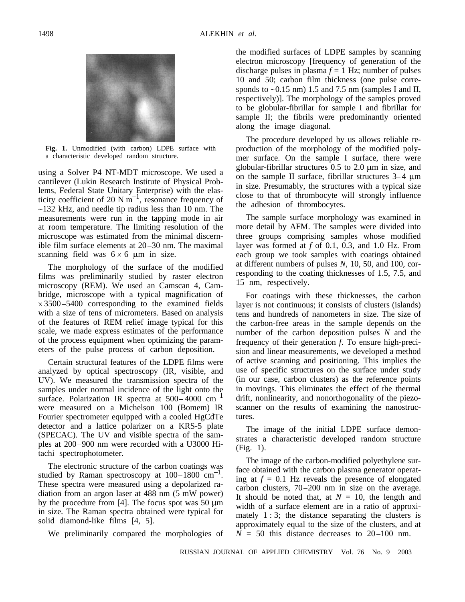

**Fig. 1.** Unmodified (with carbon) LDPE surface with a characteristic developed random structure.

using a Solver P4 NT-MDT microscope. We used a cantilever (Lukin Research Institute of Physical Problems, Federal State Unitary Enterprise) with the elasticity coefficient of 20 N  $m^{-1}$ , resonance frequency of  $\sim$ 132 kHz, and needle tip radius less than 10 nm. The measurements were run in the tapping mode in air at room temperature. The limiting resolution of the microscope was estimated from the minimal discernible film surface elements at  $20-30$  nm. The maximal scanning field was  $6 \times 6$  µm in size.

The morphology of the surface of the modified films was preliminarily studied by raster electron microscopy (REM). We used an Camscan 4, Cambridge, microscope with a typical magnification of  $\times$  3500 – 5400 corresponding to the examined fields with a size of tens of micrometers. Based on analysis of the features of REM relief image typical for this scale, we made express estimates of the performance of the process equipment when optimizing the parameters of the pulse process of carbon deposition.

Certain structural features of the LDPE films were analyzed by optical spectroscopy (IR, visible, and UV). We measured the transmission spectra of the samples under normal incidence of the light onto the surface. Polarization IR spectra at  $500-4000$  cm<sup>-1</sup> were measured on a Michelson 100 (Bomem) IR Fourier spectrometer equipped with a cooled HgCdTe detector and a lattice polarizer on a KRS-5 plate (SPECAC). The UV and visible spectra of the samples at 200 900 nm were recorded with a U3000 Hitachi spectrophotometer.

The electronic structure of the carbon coatings was studied by Raman spectroscopy at  $100-1800$  cm<sup>-1</sup>. These spectra were measured using a depolarized radiation from an argon laser at 488 nm (5 mW power) by the procedure from  $[4]$ . The focus spot was 50  $\mu$ m in size. The Raman spectra obtained were typical for solid diamond-like films [4, 5].

We preliminarily compared the morphologies of

the modified surfaces of LDPE samples by scanning electron microscopy [frequency of generation of the discharge pulses in plasma  $f = 1$  Hz; number of pulses 10 and 50; carbon film thickness (one pulse corresponds to  $\sim 0.15$  nm) 1.5 and 7.5 nm (samples I and II, respectively)]. The morphology of the samples proved to be globular-fibrillar for sample I and fibrillar for sample II; the fibrils were predominantly oriented along the image diagonal.

The procedure developed by us allows reliable reproduction of the morphology of the modified polymer surface. On the sample I surface, there were globular-fibrillar structures  $0.5$  to  $2.0 \mu m$  in size, and on the sample II surface, fibrillar structures  $3-4 \mu m$ in size. Presumably, the structures with a typical size close to that of thrombocyte will strongly influence the adhesion of thrombocytes.

The sample surface morphology was examined in more detail by AFM. The samples were divided into three groups comprising samples whose modified layer was formed at *f* of 0.1, 0.3, and 1.0 Hz. From each group we took samples with coatings obtained at different numbers of pulses *N*, 10, 50, and 100, corresponding to the coating thicknesses of 1.5, 7.5, and 15 nm, respectively.

For coatings with these thicknesses, the carbon layer is not continuous; it consists of clusters (islands) tens and hundreds of nanometers in size. The size of the carbon-free areas in the sample depends on the number of the carbon deposition pulses *N* and the frequency of their generation *f*. To ensure high-precision and linear measurements, we developed a method of active scanning and positioning. This implies the use of specific structures on the surface under study (in our case, carbon clusters) as the reference points in movings. This eliminates the effect of the thermal drift, nonlinearity, and nonorthogonality of the piezoscanner on the results of examining the nanostructures.

The image of the initial LDPE surface demonstrates a characteristic developed random structure (Fig. 1).

The image of the carbon-modified polyethylene surface obtained with the carbon plasma generator operating at  $f = 0.1$  Hz reveals the presence of elongated carbon clusters, 70 200 nm in size on the average. It should be noted that, at  $N = 10$ , the length and width of a surface element are in a ratio of approximately  $1:3$ ; the distance separating the clusters is approximately equal to the size of the clusters, and at  $N = 50$  this distance decreases to  $20-100$  nm.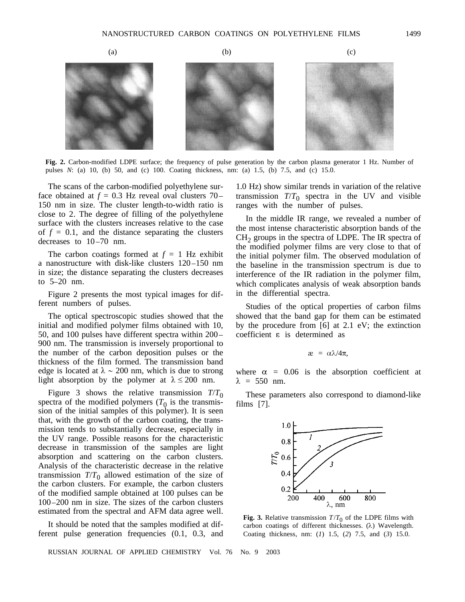

**Fig. 2.** Carbon-modified LDPE surface; the frequency of pulse generation by the carbon plasma generator 1 Hz. Number of pulses *N*: (a) 10, (b) 50, and (c) 100. Coating thickness, nm: (a) 1.5, (b) 7.5, and (c) 15.0.

The scans of the carbon-modified polyethylene surface obtained at  $f = 0.3$  Hz reveal oval clusters 70– 150 nm in size. The cluster length-to-width ratio is close to 2. The degree of filling of the polyethylene surface with the clusters increases relative to the case of  $f = 0.1$ , and the distance separating the clusters decreases to  $10-70$  nm.

The carbon coatings formed at  $f = 1$  Hz exhibit a nanostructure with disk-like clusters 120-150 nm in size; the distance separating the clusters decreases to  $5-20$  nm.

Figure 2 presents the most typical images for different numbers of pulses.

The optical spectroscopic studies showed that the initial and modified polymer films obtained with 10, 50, and 100 pulses have different spectra within 200 900 nm. The transmission is inversely proportional to the number of the carbon deposition pulses or the thickness of the film formed. The transmission band edge is located at  $\lambda \sim 200$  nm, which is due to strong light absorption by the polymer at  $\lambda \le 200$  nm.

Figure 3 shows the relative transmission  $T/T_0$ spectra of the modified polymers  $(T_0)$  is the transmission of the initial samples of this polymer). It is seen that, with the growth of the carbon coating, the transmission tends to substantially decrease, especially in the UV range. Possible reasons for the characteristic decrease in transmission of the samples are light absorption and scattering on the carbon clusters. Analysis of the characteristic decrease in the relative transmission  $T/T_0$  allowed estimation of the size of the carbon clusters. For example, the carbon clusters of the modified sample obtained at 100 pulses can be 100 200 nm in size. The sizes of the carbon clusters estimated from the spectral and AFM data agree well.

It should be noted that the samples modified at different pulse generation frequencies (0.1, 0.3, and

1.0 Hz) show similar trends in variation of the relative transmission  $T/T_0$  spectra in the UV and visible ranges with the number of pulses.

In the middle IR range, we revealed a number of the most intense characteristic absorption bands of the  $CH<sub>2</sub>$  groups in the spectra of LDPE. The IR spectra of the modified polymer films are very close to that of the initial polymer film. The observed modulation of the baseline in the transmission spectrum is due to interference of the IR radiation in the polymer film, which complicates analysis of weak absorption bands in the differential spectra.

Studies of the optical properties of carbon films showed that the band gap for them can be estimated by the procedure from [6] at 2.1 eV; the extinction coefficient  $\varepsilon$  is determined as

$$
x = \alpha \lambda / 4\pi,
$$

where  $\alpha = 0.06$  is the absorption coefficient at  $\lambda = 550$  nm.

These parameters also correspond to diamond-like films [7].



**Fig. 3.** Relative transmission  $T/T_0$  of the LDPE films with carbon coatings of different thicknesses.  $(\lambda)$  Wavelength. Coating thickness, nm: (*1*) 1.5, (*2*) 7.5, and (*3*) 15.0.

RUSSIAN JOURNAL OF APPLIED CHEMISTRY Vol. 76 No. 9 2003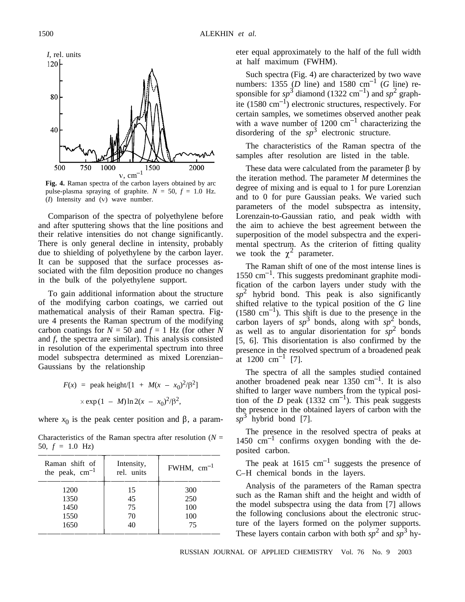

**Fig. 4.** Raman spectra of the carbon layers obtained by arc pulse-plasma spraying of graphite.  $N = 50$ ,  $f = 1.0$  Hz.  $(I)$  Intensity and  $(V)$  wave number.

Comparison of the spectra of polyethylene before and after sputtering shows that the line positions and their relative intensities do not change significantly. There is only general decline in intensity, probably due to shielding of polyethylene by the carbon layer. It can be supposed that the surface processes associated with the film deposition produce no changes in the bulk of the polyethylene support.

To gain additional information about the structure of the modifying carbon coatings, we carried out mathematical analysis of their Raman spectra. Figure 4 presents the Raman spectrum of the modifying carbon coatings for  $N = 50$  and  $f = 1$  Hz (for other *N* and *f*, the spectra are similar). This analysis consisted in resolution of the experimental spectrum into three model subspectra determined as mixed Lorenzian Gaussians by the relationship

$$
F(x) = \text{peak height} / [1 + M(x - x_0)^2 / \beta^2]
$$
  
× exp (1 - M) ln 2(x - x\_0)^2 / \beta^2,

where  $x_0$  is the peak center position and  $\beta$ , a param-

Characteristics of the Raman spectra after resolution  $(N =$ 50,  $f = 1.0$  Hz)

| Raman shift of<br>the peak, $cm^{-1}$ | Intensity,<br>rel. units | $FWHM$ , $cm^{-1}$ |
|---------------------------------------|--------------------------|--------------------|
| 1200                                  | 15                       | 300                |
| 1350                                  | 45                       | 250                |
| 1450                                  | 75                       | 100                |
| 1550                                  | 70                       | 100                |
| 1650                                  | 40                       | 75                 |

eter equal approximately to the half of the full width at half maximum (FWHM).

Such spectra (Fig. 4) are characterized by two wave numbers: 1355 (*D* line) and 1580 cm<sup>-1</sup> (*G* line) responsible for  $sp^3$  diamond (1322 cm<sup>-1</sup>) and  $sp^2$  graphite (1580  $\text{cm}^{-1}$ ) electronic structures, respectively. For certain samples, we sometimes observed another peak with a wave number of  $1200 \text{ cm}^{-1}$  characterizing the disordering of the *sp*<sup>3</sup> electronic structure.

The characteristics of the Raman spectra of the samples after resolution are listed in the table.

These data were calculated from the parameter  $\beta$  by the iteration method. The parameter *M* determines the degree of mixing and is equal to 1 for pure Lorenzian and to 0 for pure Gaussian peaks. We varied such parameters of the model subspectra as intensity, Lorenzain-to-Gaussian ratio, and peak width with the aim to achieve the best agreement between the superposition of the model subspectra and the experimental spectrum. As the criterion of fitting quality we took the  $\chi^2$  parameter.

The Raman shift of one of the most intense lines is  $1550 \text{ cm}^{-1}$ . This suggests predominant graphite modification of the carbon layers under study with the  $sp<sup>2</sup>$  hybrid bond. This peak is also significantly shifted relative to the typical position of the *G* line  $(1580 \text{ cm}^{-1})$ . This shift is due to the presence in the carbon layers of  $sp^3$  bonds, along with  $sp^2$  bonds, as well as to angular disorientation for  $sp^2$  bonds [5, 6]. This disorientation is also confirmed by the presence in the resolved spectrum of a broadened peak at  $1200 \text{ cm}^{-1}$  [7].

The spectra of all the samples studied contained another broadened peak near  $1350 \text{ cm}^{-1}$ . It is also shifted to larger wave numbers from the typical position of the *D* peak (1332 cm<sup>-1</sup>). This peak suggests the presence in the obtained layers of carbon with the *sp*<sup>3</sup> hybrid bond [7].

The presence in the resolved spectra of peaks at 1450  $\text{cm}^{-1}$  confirms oxygen bonding with the deposited carbon.

The peak at  $1615 \text{ cm}^{-1}$  suggests the presence of C-H chemical bonds in the layers.

Analysis of the parameters of the Raman spectra such as the Raman shift and the height and width of the model subspectra using the data from [7] allows the following conclusions about the electronic structure of the layers formed on the polymer supports. These layers contain carbon with both  $sp^2$  and  $sp^3$  hy